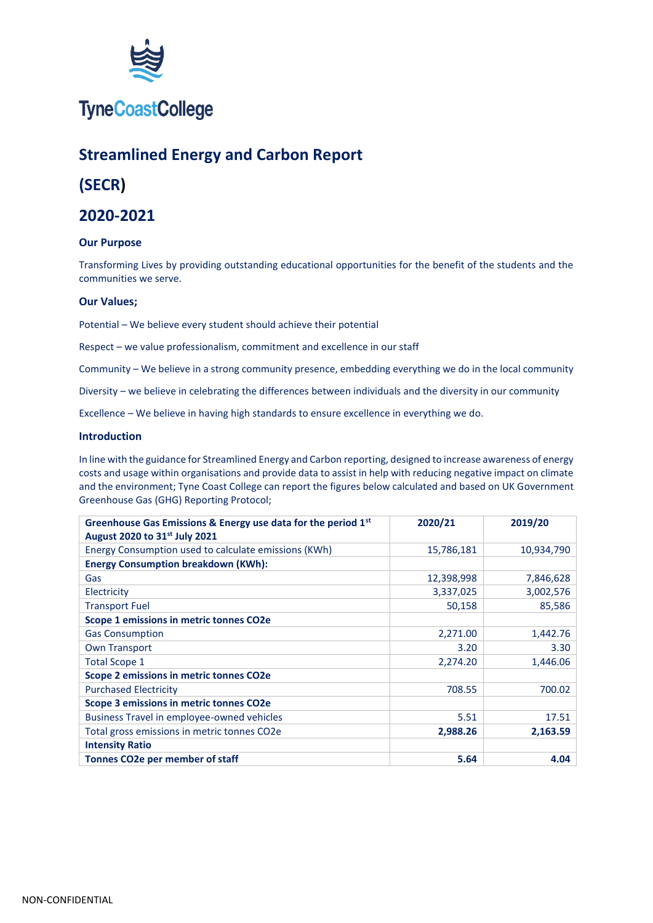

## **TyneCoastCollege**

## **Streamlined Energy and Carbon Report**

### **(SECR)**

### **2020-2021**

#### **Our Purpose**

Transforming Lives by providing outstanding educational opportunities for the benefit of the students and the communities we serve.

#### **Our Values;**

Potential – We believe every student should achieve their potential

Respect – we value professionalism, commitment and excellence in our staff

Community – We believe in a strong community presence, embedding everything we do in the local community

Diversity – we believe in celebrating the differences between individuals and the diversity in our community

Excellence – We believe in having high standards to ensure excellence in everything we do.

#### **Introduction**

In line with the guidance for Streamlined Energy and Carbon reporting, designed to increase awareness of energy costs and usage within organisations and provide data to assist in help with reducing negative impact on climate and the environment; Tyne Coast College can report the figures below calculated and based on UK Government Greenhouse Gas (GHG) Reporting Protocol;

| Greenhouse Gas Emissions & Energy use data for the period 1st | 2020/21    | 2019/20    |
|---------------------------------------------------------------|------------|------------|
| August 2020 to 31st July 2021                                 |            |            |
| Energy Consumption used to calculate emissions (KWh)          | 15,786,181 | 10,934,790 |
| <b>Energy Consumption breakdown (KWh):</b>                    |            |            |
| Gas                                                           | 12,398,998 | 7,846,628  |
| Electricity                                                   | 3,337,025  | 3,002,576  |
| <b>Transport Fuel</b>                                         | 50,158     | 85,586     |
| Scope 1 emissions in metric tonnes CO2e                       |            |            |
| <b>Gas Consumption</b>                                        | 2,271.00   | 1,442.76   |
| <b>Own Transport</b>                                          | 3.20       | 3.30       |
| <b>Total Scope 1</b>                                          | 2,274.20   | 1,446.06   |
| Scope 2 emissions in metric tonnes CO2e                       |            |            |
| <b>Purchased Electricity</b>                                  | 708.55     | 700.02     |
| Scope 3 emissions in metric tonnes CO2e                       |            |            |
| Business Travel in employee-owned vehicles                    | 5.51       | 17.51      |
| Total gross emissions in metric tonnes CO2e                   | 2,988.26   | 2,163.59   |
| <b>Intensity Ratio</b>                                        |            |            |
| Tonnes CO2e per member of staff                               | 5.64       | 4.04       |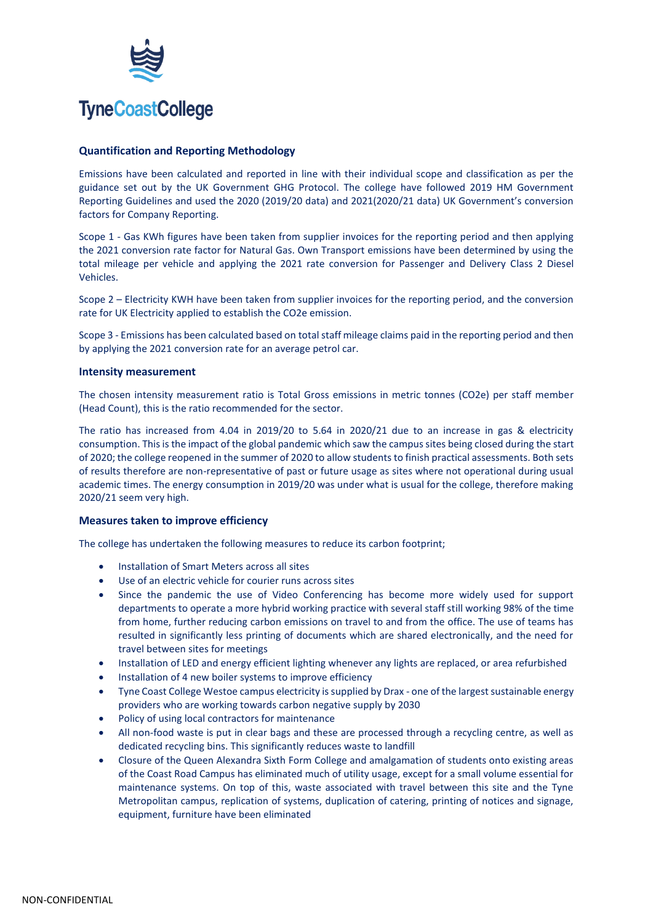

## **TyneCoastCollege**

#### **Quantification and Reporting Methodology**

Emissions have been calculated and reported in line with their individual scope and classification as per the guidance set out by the UK Government GHG Protocol. The college have followed 2019 HM Government Reporting Guidelines and used the 2020 (2019/20 data) and 2021(2020/21 data) UK Government's conversion factors for Company Reporting.

Scope 1 - Gas KWh figures have been taken from supplier invoices for the reporting period and then applying the 2021 conversion rate factor for Natural Gas. Own Transport emissions have been determined by using the total mileage per vehicle and applying the 2021 rate conversion for Passenger and Delivery Class 2 Diesel Vehicles.

Scope 2 – Electricity KWH have been taken from supplier invoices for the reporting period, and the conversion rate for UK Electricity applied to establish the CO2e emission.

Scope 3 - Emissions has been calculated based on total staff mileage claims paid in the reporting period and then by applying the 2021 conversion rate for an average petrol car.

#### **Intensity measurement**

The chosen intensity measurement ratio is Total Gross emissions in metric tonnes (CO2e) per staff member (Head Count), this is the ratio recommended for the sector.

The ratio has increased from 4.04 in 2019/20 to 5.64 in 2020/21 due to an increase in gas & electricity consumption. This is the impact of the global pandemic which saw the campus sites being closed during the start of 2020; the college reopened in the summer of 2020 to allow students to finish practical assessments. Both sets of results therefore are non-representative of past or future usage as sites where not operational during usual academic times. The energy consumption in 2019/20 was under what is usual for the college, therefore making 2020/21 seem very high.

#### **Measures taken to improve efficiency**

The college has undertaken the following measures to reduce its carbon footprint;

- Installation of Smart Meters across all sites
- Use of an electric vehicle for courier runs across sites
- Since the pandemic the use of Video Conferencing has become more widely used for support departments to operate a more hybrid working practice with several staff still working 98% of the time from home, further reducing carbon emissions on travel to and from the office. The use of teams has resulted in significantly less printing of documents which are shared electronically, and the need for travel between sites for meetings
- Installation of LED and energy efficient lighting whenever any lights are replaced, or area refurbished
- Installation of 4 new boiler systems to improve efficiency
- Tyne Coast College Westoe campus electricity is supplied by Drax one of the largest sustainable energy providers who are working towards carbon negative supply by 2030
- Policy of using local contractors for maintenance
- All non-food waste is put in clear bags and these are processed through a recycling centre, as well as dedicated recycling bins. This significantly reduces waste to landfill
- Closure of the Queen Alexandra Sixth Form College and amalgamation of students onto existing areas of the Coast Road Campus has eliminated much of utility usage, except for a small volume essential for maintenance systems. On top of this, waste associated with travel between this site and the Tyne Metropolitan campus, replication of systems, duplication of catering, printing of notices and signage, equipment, furniture have been eliminated